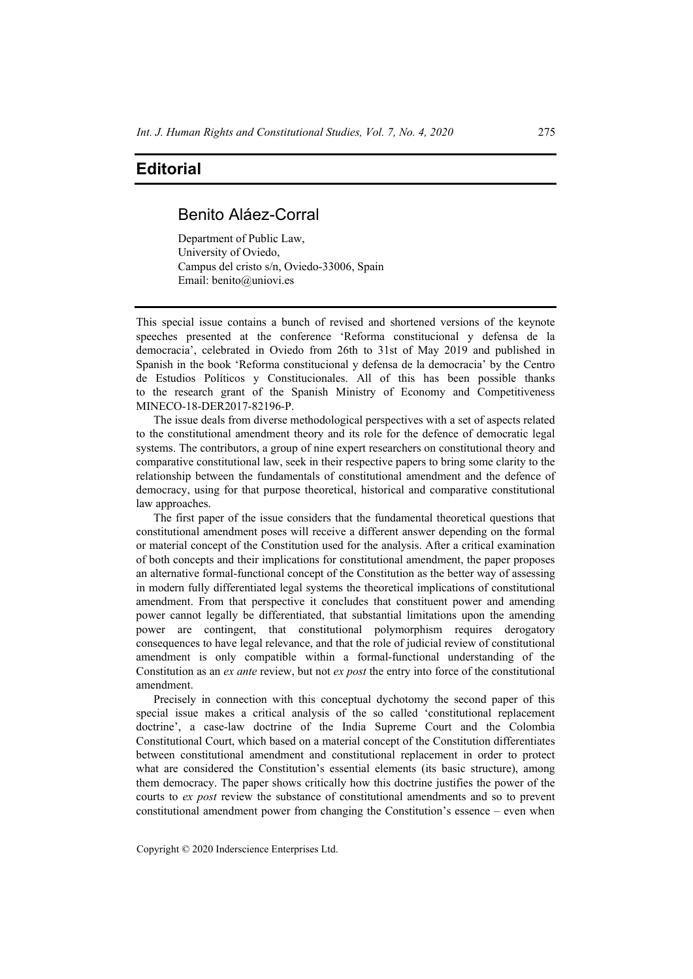## **Editorial**

## Benito Aláez-Corral

Department of Public Law, University of Oviedo, Campus del cristo s/n, Oviedo-33006, Spain Email: benito@uniovi.es

This special issue contains a bunch of revised and shortened versions of the keynote speeches presented at the conference 'Reforma constitucional y defensa de la democracia', celebrated in Oviedo from 26th to 31st of May 2019 and published in Spanish in the book 'Reforma constitucional y defensa de la democracia' by the Centro de Estudios Políticos y Constitucionales. All of this has been possible thanks to the research grant of the Spanish Ministry of Economy and Competitiveness MINECO-18-DER2017-82196-P.

The issue deals from diverse methodological perspectives with a set of aspects related to the constitutional amendment theory and its role for the defence of democratic legal systems. The contributors, a group of nine expert researchers on constitutional theory and comparative constitutional law, seek in their respective papers to bring some clarity to the relationship between the fundamentals of constitutional amendment and the defence of democracy, using for that purpose theoretical, historical and comparative constitutional law approaches.

The first paper of the issue considers that the fundamental theoretical questions that constitutional amendment poses will receive a different answer depending on the formal or material concept of the Constitution used for the analysis. After a critical examination of both concepts and their implications for constitutional amendment, the paper proposes an alternative formal-functional concept of the Constitution as the better way of assessing in modern fully differentiated legal systems the theoretical implications of constitutional amendment. From that perspective it concludes that constituent power and amending power cannot legally be differentiated, that substantial limitations upon the amending power are contingent, that constitutional polymorphism requires derogatory consequences to have legal relevance, and that the role of judicial review of constitutional amendment is only compatible within a formal-functional understanding of the Constitution as an *ex ante* review, but not *ex post* the entry into force of the constitutional amendment.

Precisely in connection with this conceptual dychotomy the second paper of this special issue makes a critical analysis of the so called 'constitutional replacement doctrine', a case-law doctrine of the India Supreme Court and the Colombia Constitutional Court, which based on a material concept of the Constitution differentiates between constitutional amendment and constitutional replacement in order to protect what are considered the Constitution's essential elements (its basic structure), among them democracy. The paper shows critically how this doctrine justifies the power of the courts to *ex post* review the substance of constitutional amendments and so to prevent constitutional amendment power from changing the Constitution's essence – even when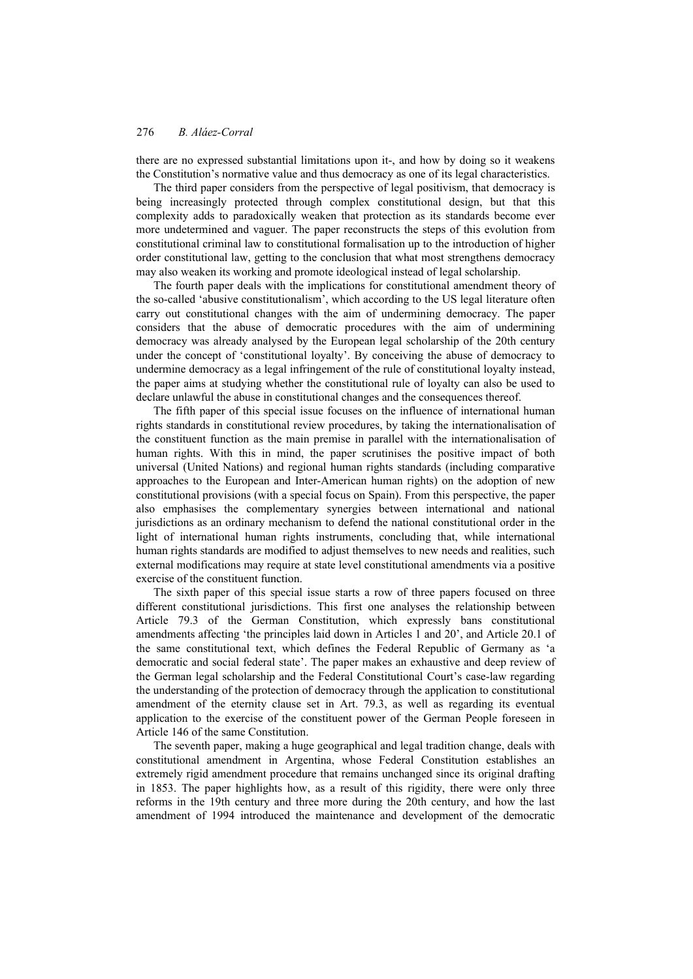there are no expressed substantial limitations upon it-, and how by doing so it weakens the Constitution's normative value and thus democracy as one of its legal characteristics.

The third paper considers from the perspective of legal positivism, that democracy is being increasingly protected through complex constitutional design, but that this complexity adds to paradoxically weaken that protection as its standards become ever more undetermined and vaguer. The paper reconstructs the steps of this evolution from constitutional criminal law to constitutional formalisation up to the introduction of higher order constitutional law, getting to the conclusion that what most strengthens democracy may also weaken its working and promote ideological instead of legal scholarship.

The fourth paper deals with the implications for constitutional amendment theory of the so-called 'abusive constitutionalism', which according to the US legal literature often carry out constitutional changes with the aim of undermining democracy. The paper considers that the abuse of democratic procedures with the aim of undermining democracy was already analysed by the European legal scholarship of the 20th century under the concept of 'constitutional loyalty'. By conceiving the abuse of democracy to undermine democracy as a legal infringement of the rule of constitutional loyalty instead, the paper aims at studying whether the constitutional rule of loyalty can also be used to declare unlawful the abuse in constitutional changes and the consequences thereof.

The fifth paper of this special issue focuses on the influence of international human rights standards in constitutional review procedures, by taking the internationalisation of the constituent function as the main premise in parallel with the internationalisation of human rights. With this in mind, the paper scrutinises the positive impact of both universal (United Nations) and regional human rights standards (including comparative approaches to the European and Inter-American human rights) on the adoption of new constitutional provisions (with a special focus on Spain). From this perspective, the paper also emphasises the complementary synergies between international and national jurisdictions as an ordinary mechanism to defend the national constitutional order in the light of international human rights instruments, concluding that, while international human rights standards are modified to adjust themselves to new needs and realities, such external modifications may require at state level constitutional amendments via a positive exercise of the constituent function.

The sixth paper of this special issue starts a row of three papers focused on three different constitutional jurisdictions. This first one analyses the relationship between Article 79.3 of the German Constitution, which expressly bans constitutional amendments affecting 'the principles laid down in Articles 1 and 20', and Article 20.1 of the same constitutional text, which defines the Federal Republic of Germany as 'a democratic and social federal state'. The paper makes an exhaustive and deep review of the German legal scholarship and the Federal Constitutional Court's case-law regarding the understanding of the protection of democracy through the application to constitutional amendment of the eternity clause set in Art. 79.3, as well as regarding its eventual application to the exercise of the constituent power of the German People foreseen in Article 146 of the same Constitution.

The seventh paper, making a huge geographical and legal tradition change, deals with constitutional amendment in Argentina, whose Federal Constitution establishes an extremely rigid amendment procedure that remains unchanged since its original drafting in 1853. The paper highlights how, as a result of this rigidity, there were only three reforms in the 19th century and three more during the 20th century, and how the last amendment of 1994 introduced the maintenance and development of the democratic